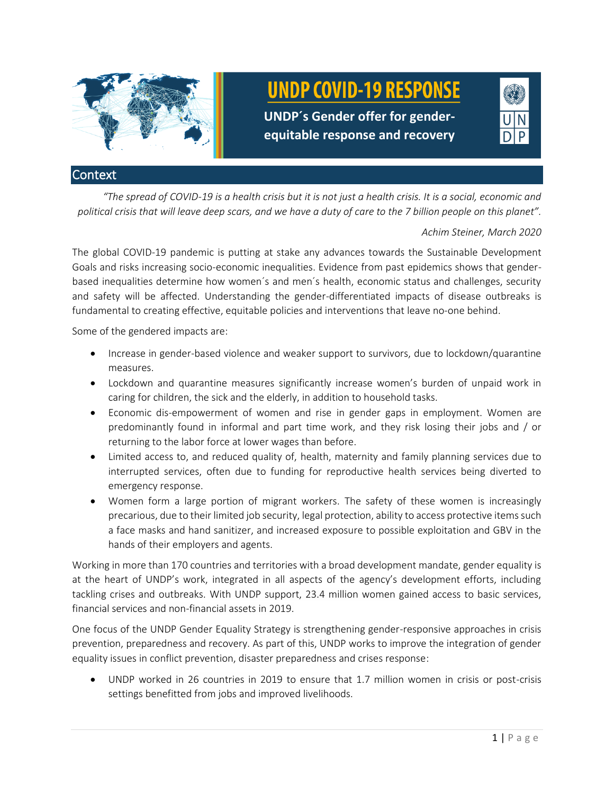

# **Context**

*"The spread of COVID-19 is a health crisis but it is not just a health crisis. It is a social, economic and political crisis that will leave deep scars, and we have a duty of care to the 7 billion people on this planet".*

# *Achim Steiner, March 2020*

The global COVID-19 pandemic is putting at stake any advances towards the Sustainable Development Goals and risks increasing socio-economic inequalities. Evidence from past epidemics shows that genderbased inequalities determine how women´s and men´s health, economic status and challenges, security and safety will be affected. Understanding the gender-differentiated impacts of disease outbreaks is fundamental to creating effective, equitable policies and interventions that leave no-one behind.

Some of the gendered impacts are:

- Increase in gender-based violence and weaker support to survivors, due to lockdown/quarantine measures.
- Lockdown and quarantine measures significantly increase women's burden of unpaid work in caring for children, the sick and the elderly, in addition to household tasks.
- Economic dis-empowerment of women and rise in gender gaps in employment. Women are predominantly found in informal and part time work, and they risk losing their jobs and / or returning to the labor force at lower wages than before.
- Limited access to, and reduced quality of, health, maternity and family planning services due to interrupted services, often due to funding for reproductive health services being diverted to emergency response.
- Women form a large portion of migrant workers. The safety of these women is increasingly precarious, due to their limited job security, legal protection, ability to access protective items such a face masks and hand sanitizer, and increased exposure to possible exploitation and GBV in the hands of their employers and agents.

Working in more than 170 countries and territories with a broad development mandate, gender equality is at the heart of UNDP's work, integrated in all aspects of the agency's development efforts, including tackling crises and outbreaks. With UNDP support, 23.4 million women gained access to basic services, financial services and non-financial assets in 2019.

One focus of the UNDP Gender Equality Strategy is strengthening gender-responsive approaches in crisis prevention, preparedness and recovery. As part of this, UNDP works to improve the integration of gender equality issues in conflict prevention, disaster preparedness and crises response:

• UNDP worked in 26 countries in 2019 to ensure that 1.7 million women in crisis or post-crisis settings benefitted from jobs and improved livelihoods.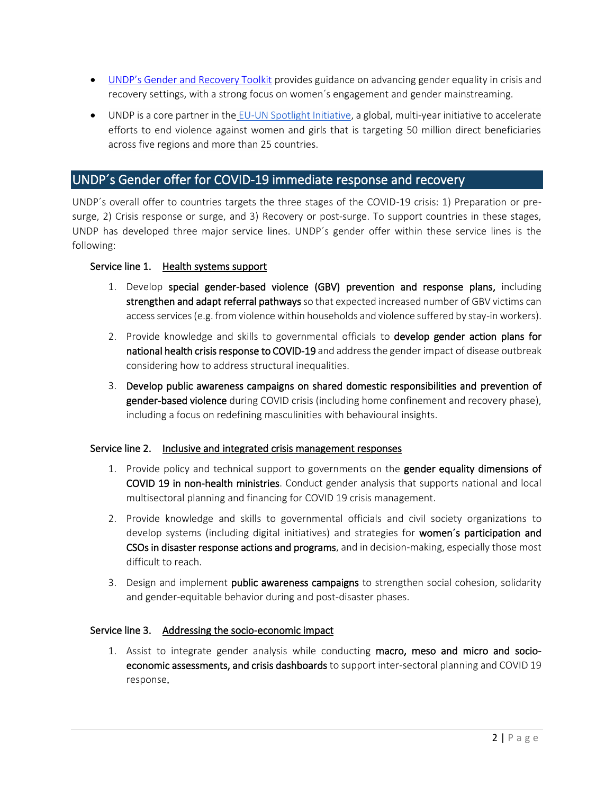- [UNDP's Gender and Recovery Toolkit](https://eur03.safelinks.protection.outlook.com/?url=https%3A%2F%2Fwww.undp.org%2Fcontent%2Fundp%2Fen%2Fhome%2Flibrarypage%2Fwomens-empowerment%2Fundp-gender-and-recovery-toolkit.html&data=02%7C01%7Caroa.santiago%40undp.org%7Ca7e816ebfba54fdb915808d7d033f36c%7Cb3e5db5e2944483799f57488ace54319%7C0%7C0%7C637206793855516771&sdata=xIEVWwcWEXa0eqXhRV%2BOA1ODE8JqQIRk0dSF1KUmU%2Fw%3D&reserved=0) provides guidance on advancing gender equality in crisis and recovery settings, with a strong focus on women´s engagement and gender mainstreaming.
- UNDP is a core partner in the [EU-UN Spotlight Initiative,](https://eur03.safelinks.protection.outlook.com/?url=https%3A%2F%2Fwww.spotlightinitiative.org%2F&data=02%7C01%7Caroa.santiago%40undp.org%7Ca7e816ebfba54fdb915808d7d033f36c%7Cb3e5db5e2944483799f57488ace54319%7C0%7C0%7C637206793855526766&sdata=PYUvMdshCsqs197wuT1735bXGaOIycgxVnIMzns%2Bics%3D&reserved=0) a global, multi-year initiative to accelerate efforts to end violence against women and girls that is targeting 50 million direct beneficiaries across five regions and more than 25 countries.

# UNDP´s Gender offer for COVID-19 immediate response and recovery

UNDP´s overall offer to countries targets the three stages of the COVID-19 crisis: 1) Preparation or presurge, 2) Crisis response or surge, and 3) Recovery or post-surge. To support countries in these stages, UNDP has developed three major service lines. UNDP´s gender offer within these service lines is the following:

# Service line 1. Health systems support

- 1. Develop special gender-based violence (GBV) prevention and response plans, including strengthen and adapt referral pathways so that expected increased number of GBV victims can access services(e.g. from violence within households and violence suffered by stay-in workers).
- 2. Provide knowledge and skills to governmental officials to develop gender action plans for national health crisis response to COVID-19 and address the gender impact of disease outbreak considering how to address structural inequalities.
- 3. Develop public awareness campaigns on shared domestic responsibilities and prevention of gender-based violence during COVID crisis (including home confinement and recovery phase), including a focus on redefining masculinities with behavioural insights.

# Service line 2. Inclusive and integrated crisis management responses

- 1. Provide policy and technical support to governments on the gender equality dimensions of COVID 19 in non-health ministries. Conduct gender analysis that supports national and local multisectoral planning and financing for COVID 19 crisis management.
- 2. Provide knowledge and skills to governmental officials and civil society organizations to develop systems (including digital initiatives) and strategies for women's participation and CSOs in disaster response actions and programs, and in decision-making, especially those most difficult to reach.
- 3. Design and implement public awareness campaigns to strengthen social cohesion, solidarity and gender-equitable behavior during and post-disaster phases.

# Service line 3. Addressing the socio-economic impact

1. Assist to integrate gender analysis while conducting macro, meso and micro and socioeconomic assessments, and crisis dashboards to support inter-sectoral planning and COVID 19 response.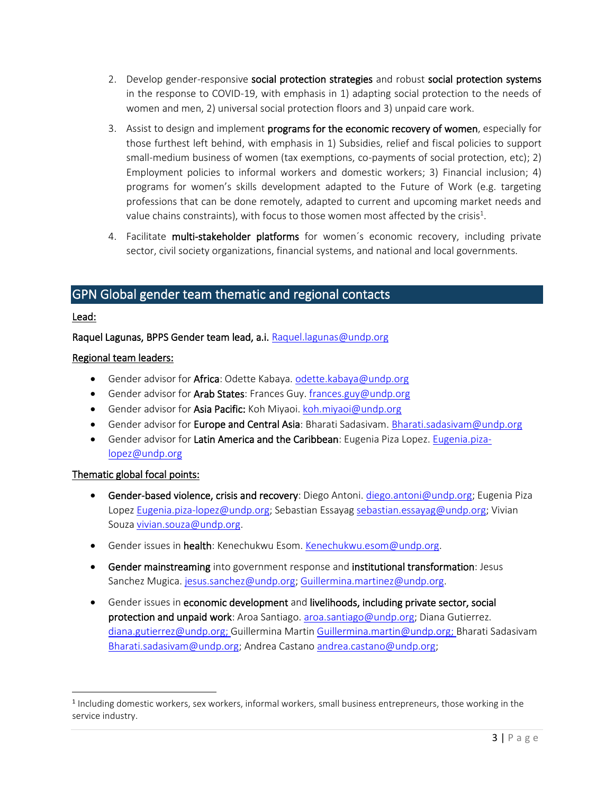- 2. Develop gender-responsive social protection strategies and robust social protection systems in the response to COVID-19, with emphasis in 1) adapting social protection to the needs of women and men, 2) universal social protection floors and 3) unpaid care work.
- 3. Assist to design and implement programs for the economic recovery of women, especially for those furthest left behind, with emphasis in 1) Subsidies, relief and fiscal policies to support small-medium business of women (tax exemptions, co-payments of social protection, etc); 2) Employment policies to informal workers and domestic workers; 3) Financial inclusion; 4) programs for women's skills development adapted to the Future of Work (e.g. targeting professions that can be done remotely, adapted to current and upcoming market needs and value chains constraints), with focus to those women most affected by the crisis $^1\!\!$ .
- 4. Facilitate multi-stakeholder platforms for women's economic recovery, including private sector, civil society organizations, financial systems, and national and local governments.

# GPN Global gender team thematic and regional contacts

### Lead:

Raquel Lagunas, BPPS Gender team lead, a.i. Raquel.lagunas@undp.org

### Regional team leaders:

- Gender advisor for Africa: Odette Kabaya[. odette.kabaya@undp.org](mailto:odette.kabaya@undp.org)
- Gender advisor for Arab States: Frances Guy. [frances.guy@undp.org](mailto:frances.guy@undp.org)
- Gender advisor for Asia Pacific: Koh Miyaoi. [koh.miyaoi@undp.org](mailto:koh.miyaoi@undp.org)
- Gender advisor for Europe and Central Asia: Bharati Sadasivam[. Bharati.sadasivam@undp.org](mailto:Bharati.sadasivam@undp.org)
- Gender advisor for Latin America and the Caribbean: Eugenia Piza Lopez[. Eugenia.piza](mailto:Eugenia.piza-lopez@undp.org)[lopez@undp.org](mailto:Eugenia.piza-lopez@undp.org)

#### Thematic global focal points:

- Gender-based violence, crisis and recovery: Diego Antoni. [diego.antoni@undp.org;](mailto:diego.antoni@undp.org) Eugenia Piza Lopez [Eugenia.piza-lopez@undp.org;](mailto:Eugenia.piza-lopez@undp.org) Sebastian Essayag [sebastian.essayag@undp.org;](mailto:sebastian.essayag@undp.org) Vivian Souz[a vivian.souza@undp.org.](mailto:vivian.souza@undp.org)
- Gender issues in health: Kenechukwu Esom. [Kenechukwu.esom@undp.org.](mailto:Kenechukwu.esom@undp.org)
- Gender mainstreaming into government response and institutional transformation: Jesus Sanchez Mugica. [jesus.sanchez@undp.org;](mailto:jesus.sanchez@undp.org) [Guillermina.martinez@undp.org.](mailto:Guillermina.martinez@undp.org)
- Gender issues in economic development and livelihoods, including private sector, social protection and unpaid work: Aroa Santiago. [aroa.santiago@undp.org;](mailto:aroa.santiago@undp.org) Diana Gutierrez. [diana.gutierrez@undp.org;](mailto:diana.gutierrez@undp.org) Guillermina Martin [Guillermina.martin@undp.org;](mailto:Guillermina.martin@undp.org) Bharati Sadasivam [Bharati.sadasivam@undp.org;](mailto:Bharati.sadasivam@undp.org) Andrea Castano [andrea.castano@undp.org;](mailto:andrea.castano@undp.org)

<sup>&</sup>lt;sup>1</sup> Including domestic workers, sex workers, informal workers, small business entrepreneurs, those working in the service industry.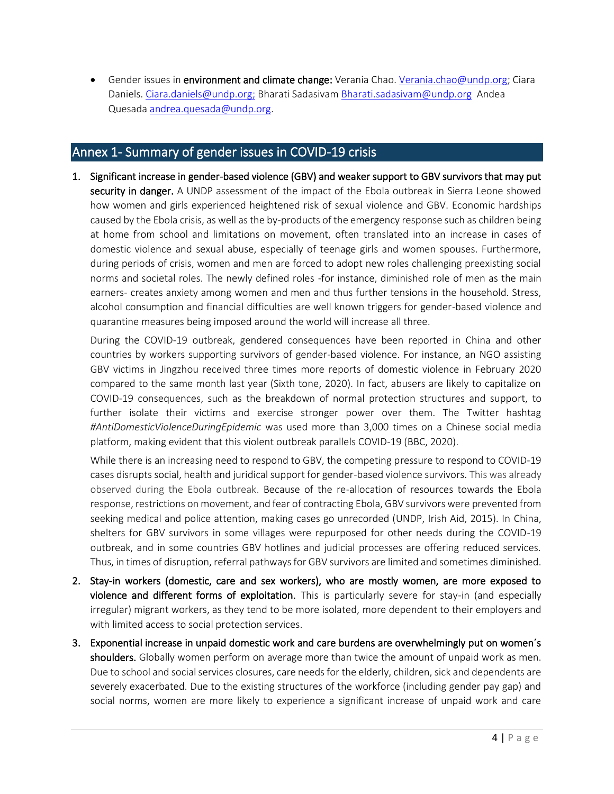• Gender issues in environment and climate change: Verania Chao. [Verania.chao@undp.org;](mailto:Verania.chao@undp.org) Ciara Daniels. [Ciara.daniels@undp.org;](mailto:Ciara.daniels@undp.org) Bharati Sadasivam [Bharati.sadasivam@undp.org](mailto:Bharati.sadasivam@undp.org) Andea Quesada [andrea.quesada@undp.org.](mailto:andrea.quesada@undp.org)

# Annex 1- Summary of gender issues in COVID-19 crisis

1. Significant increase in gender-based violence (GBV) and weaker support to GBV survivors that may put security in danger. A UNDP assessment of the impact of the Ebola outbreak in Sierra Leone showed how women and girls experienced heightened risk of sexual violence and GBV. Economic hardships caused by the Ebola crisis, as well as the by-products of the emergency response such as children being at home from school and limitations on movement, often translated into an increase in cases of domestic violence and sexual abuse, especially of teenage girls and women spouses. Furthermore, during periods of crisis, women and men are forced to adopt new roles challenging preexisting social norms and societal roles. The newly defined roles -for instance, diminished role of men as the main earners- creates anxiety among women and men and thus further tensions in the household. Stress, alcohol consumption and financial difficulties are well known triggers for gender-based violence and quarantine measures being imposed around the world will increase all three.

During the COVID-19 outbreak, gendered consequences have been reported in China and other countries by workers supporting survivors of gender-based violence. For instance, an NGO assisting GBV victims in Jingzhou received three times more reports of domestic violence in February 2020 compared to the same month last year (Sixth tone, 2020). In fact, abusers are likely to capitalize on COVID-19 consequences, such as the breakdown of normal protection structures and support, to further isolate their victims and exercise stronger power over them. The Twitter hashtag *#AntiDomesticViolenceDuringEpidemic* was used more than 3,000 times on a Chinese social media platform, making evident that this violent outbreak parallels COVID-19 (BBC, 2020).

While there is an increasing need to respond to GBV, the competing pressure to respond to COVID-19 cases disrupts social, health and juridical support for gender-based violence survivors. This was already observed during the Ebola outbreak. Because of the re-allocation of resources towards the Ebola response, restrictions on movement, and fear of contracting Ebola, GBV survivors were prevented from seeking medical and police attention, making cases go unrecorded (UNDP, Irish Aid, 2015). In China, shelters for GBV survivors in some villages were repurposed for other needs during the COVID-19 outbreak, and in some countries GBV hotlines and judicial processes are offering reduced services. Thus, in times of disruption, referral pathways for GBV survivors are limited and sometimes diminished.

- 2. Stay-in workers (domestic, care and sex workers), who are mostly women, are more exposed to violence and different forms of exploitation. This is particularly severe for stay-in (and especially irregular) migrant workers, as they tend to be more isolated, more dependent to their employers and with limited access to social protection services.
- 3. Exponential increase in unpaid domestic work and care burdens are overwhelmingly put on women´s shoulders. Globally women perform on average more than twice the amount of unpaid work as men. Due to school and social services closures, care needs for the elderly, children, sick and dependents are severely exacerbated. Due to the existing structures of the workforce (including gender pay gap) and social norms, women are more likely to experience a significant increase of unpaid work and care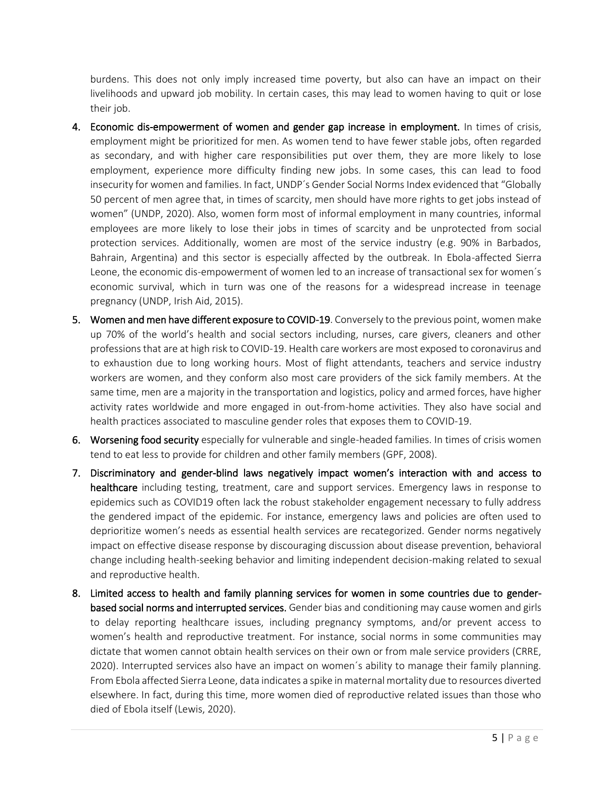burdens. This does not only imply increased time poverty, but also can have an impact on their livelihoods and upward job mobility. In certain cases, this may lead to women having to quit or lose their job.

- 4. Economic dis-empowerment of women and gender gap increase in employment. In times of crisis, employment might be prioritized for men. As women tend to have fewer stable jobs, often regarded as secondary, and with higher care responsibilities put over them, they are more likely to lose employment, experience more difficulty finding new jobs. In some cases, this can lead to food insecurity for women and families. In fact, UNDP´s Gender Social Norms Index evidenced that "Globally 50 percent of men agree that, in times of scarcity, men should have more rights to get jobs instead of women" (UNDP, 2020). Also, women form most of informal employment in many countries, informal employees are more likely to lose their jobs in times of scarcity and be unprotected from social protection services. Additionally, women are most of the service industry (e.g. 90% in Barbados, Bahrain, Argentina) and this sector is especially affected by the outbreak. In Ebola-affected Sierra Leone, the economic dis-empowerment of women led to an increase of transactional sex for women´s economic survival, which in turn was one of the reasons for a widespread increase in teenage pregnancy (UNDP, Irish Aid, 2015).
- 5. Women and men have different exposure to COVID-19. Conversely to the previous point, women make up 70% of the world's health and social sectors including, nurses, care givers, cleaners and other professions that are at high risk to COVID-19. Health care workers are most exposed to coronavirus and to exhaustion due to long working hours. Most of flight attendants, teachers and service industry workers are women, and they conform also most care providers of the sick family members. At the same time, men are a majority in the transportation and logistics, policy and armed forces, have higher activity rates worldwide and more engaged in out-from-home activities. They also have social and health practices associated to masculine gender roles that exposes them to COVID-19.
- 6. Worsening food security especially for vulnerable and single-headed families. In times of crisis women tend to eat less to provide for children and other family members (GPF, 2008).
- 7. Discriminatory and gender-blind laws negatively impact women's interaction with and access to healthcare including testing, treatment, care and support services. Emergency laws in response to epidemics such as COVID19 often lack the robust stakeholder engagement necessary to fully address the gendered impact of the epidemic. For instance, emergency laws and policies are often used to deprioritize women's needs as essential health services are recategorized. Gender norms negatively impact on effective disease response by discouraging discussion about disease prevention, behavioral change including health-seeking behavior and limiting independent decision-making related to sexual and reproductive health.
- 8. Limited access to health and family planning services for women in some countries due to genderbased social norms and interrupted services. Gender bias and conditioning may cause women and girls to delay reporting healthcare issues, including pregnancy symptoms, and/or prevent access to women's health and reproductive treatment. For instance, social norms in some communities may dictate that women cannot obtain health services on their own or from male service providers (CRRE, 2020). Interrupted services also have an impact on women´s ability to manage their family planning. From Ebola affected Sierra Leone, data indicates a spike in maternal mortality due to resources diverted elsewhere. In fact, during this time, more women died of reproductive related issues than those who died of Ebola itself (Lewis, 2020).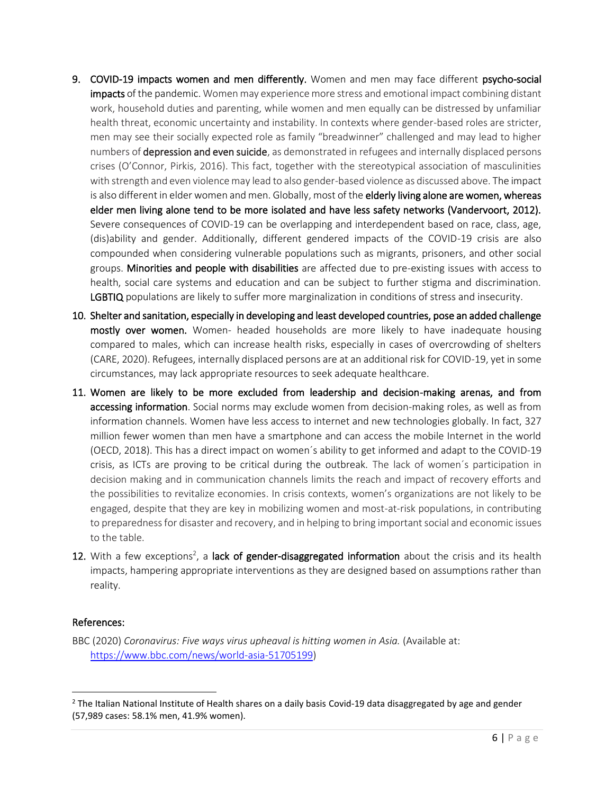- 9. COVID-19 impacts women and men differently. Women and men may face different psycho-social impacts of the pandemic. Women may experience more stress and emotional impact combining distant work, household duties and parenting, while women and men equally can be distressed by unfamiliar health threat, economic uncertainty and instability. In contexts where gender-based roles are stricter, men may see their socially expected role as family "breadwinner" challenged and may lead to higher numbers of depression and even suicide, as demonstrated in refugees and internally displaced persons crises (O'Connor, Pirkis, 2016). This fact, together with the stereotypical association of masculinities with strength and even violence may lead to also gender-based violence as discussed above. The impact is also different in elder women and men. Globally, most of the **elderly living alone are women, whereas** elder men living alone tend to be more isolated and have less safety networks (Vandervoort, 2012). Severe consequences of COVID-19 can be overlapping and interdependent based on race, class, age, (dis)ability and gender. Additionally, different gendered impacts of the COVID-19 crisis are also compounded when considering vulnerable populations such as migrants, prisoners, and other social groups. Minorities and people with disabilities are affected due to pre-existing issues with access to health, social care systems and education and can be subject to further stigma and discrimination. LGBTIQ populations are likely to suffer more marginalization in conditions of stress and insecurity.
- 10. Shelter and sanitation, especially in developing and least developed countries, pose an added challenge mostly over women. Women- headed households are more likely to have inadequate housing compared to males, which can increase health risks, especially in cases of overcrowding of shelters (CARE, 2020). Refugees, internally displaced persons are at an additional risk for COVID-19, yet in some circumstances, may lack appropriate resources to seek adequate healthcare.
- 11. Women are likely to be more excluded from leadership and decision-making arenas, and from accessing information. Social norms may exclude women from decision-making roles, as well as from information channels. Women have less access to internet and new technologies globally. In fact, 327 million fewer women than men have a smartphone and can access the mobile Internet in the world (OECD, 2018). This has a direct impact on women´s ability to get informed and adapt to the COVID-19 crisis, as ICTs are proving to be critical during the outbreak. The lack of women´s participation in decision making and in communication channels limits the reach and impact of recovery efforts and the possibilities to revitalize economies. In crisis contexts, women's organizations are not likely to be engaged, despite that they are key in mobilizing women and most-at-risk populations, in contributing to preparedness for disaster and recovery, and in helping to bring important social and economic issues to the table.
- 12. With a few exceptions<sup>2</sup>, a lack of gender-disaggregated information about the crisis and its health impacts, hampering appropriate interventions as they are designed based on assumptions rather than reality.

# References:

BBC (2020) *Coronavirus: Five ways virus upheaval is hitting women in Asia.* (Available at: [https://www.bbc.com/news/world-asia-51705199\)](https://www.bbc.com/news/world-asia-51705199)

 $<sup>2</sup>$  The Italian National Institute of Health shares on a daily basis Covid-19 data disaggregated by age and gender</sup> (57,989 cases: 58.1% men, 41.9% women).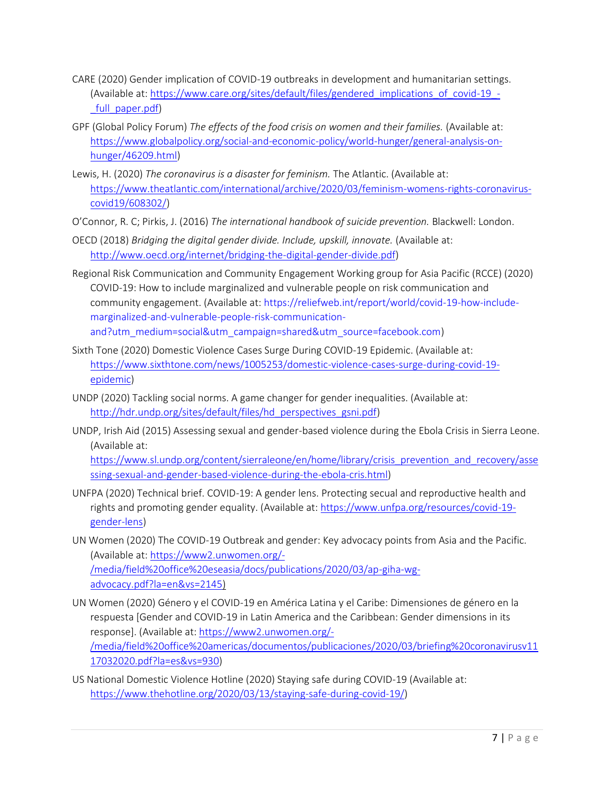- CARE (2020) Gender implication of COVID-19 outbreaks in development and humanitarian settings. (Available at: [https://www.care.org/sites/default/files/gendered\\_implications\\_of\\_covid-19\\_-](https://www.care.org/sites/default/files/gendered_implications_of_covid-19_-_full_paper.pdf) [\\_full\\_paper.pdf\)](https://www.care.org/sites/default/files/gendered_implications_of_covid-19_-_full_paper.pdf)
- GPF (Global Policy Forum) *The effects of the food crisis on women and their families.* (Available at: [https://www.globalpolicy.org/social-and-economic-policy/world-hunger/general-analysis-on](https://www.globalpolicy.org/social-and-economic-policy/world-hunger/general-analysis-on-hunger/46209.html)[hunger/46209.html\)](https://www.globalpolicy.org/social-and-economic-policy/world-hunger/general-analysis-on-hunger/46209.html)
- Lewis, H. (2020) *The coronavirus is a disaster for feminism.* The Atlantic. (Available at: [https://www.theatlantic.com/international/archive/2020/03/feminism-womens-rights-coronavirus](https://www.theatlantic.com/international/archive/2020/03/feminism-womens-rights-coronavirus-covid19/608302/)[covid19/608302/\)](https://www.theatlantic.com/international/archive/2020/03/feminism-womens-rights-coronavirus-covid19/608302/)
- O'Connor, R. C; Pirkis, J. (2016) *The international handbook of suicide prevention.* Blackwell: London.
- OECD (2018) *Bridging the digital gender divide. Include, upskill, innovate.* (Available at: [http://www.oecd.org/internet/bridging-the-digital-gender-divide.pdf\)](http://www.oecd.org/internet/bridging-the-digital-gender-divide.pdf)
- Regional Risk Communication and Community Engagement Working group for Asia Pacific (RCCE) (2020) COVID-19: How to include marginalized and vulnerable people on risk communication and community engagement. (Available at: [https://reliefweb.int/report/world/covid-19-how-include](https://reliefweb.int/report/world/covid-19-how-include-marginalized-and-vulnerable-people-risk-communication-and?utm_medium=social&utm_campaign=shared&utm_source=facebook.com)[marginalized-and-vulnerable-people-risk-communication](https://reliefweb.int/report/world/covid-19-how-include-marginalized-and-vulnerable-people-risk-communication-and?utm_medium=social&utm_campaign=shared&utm_source=facebook.com)[and?utm\\_medium=social&utm\\_campaign=shared&utm\\_source=facebook.com\)](https://reliefweb.int/report/world/covid-19-how-include-marginalized-and-vulnerable-people-risk-communication-and?utm_medium=social&utm_campaign=shared&utm_source=facebook.com)
- Sixth Tone (2020) Domestic Violence Cases Surge During COVID-19 Epidemic. (Available at: [https://www.sixthtone.com/news/1005253/domestic-violence-cases-surge-during-covid-19](https://www.sixthtone.com/news/1005253/domestic-violence-cases-surge-during-covid-19-epidemic) [epidemic\)](https://www.sixthtone.com/news/1005253/domestic-violence-cases-surge-during-covid-19-epidemic)
- UNDP (2020) Tackling social norms. A game changer for gender inequalities. (Available at: [http://hdr.undp.org/sites/default/files/hd\\_perspectives\\_gsni.pdf\)](http://hdr.undp.org/sites/default/files/hd_perspectives_gsni.pdf)
- UNDP, Irish Aid (2015) Assessing sexual and gender-based violence during the Ebola Crisis in Sierra Leone. (Available at:

[https://www.sl.undp.org/content/sierraleone/en/home/library/crisis\\_prevention\\_and\\_recovery/asse](https://www.sl.undp.org/content/sierraleone/en/home/library/crisis_prevention_and_recovery/assessing-sexual-and-gender-based-violence-during-the-ebola-cris.html) [ssing-sexual-and-gender-based-violence-during-the-ebola-cris.html\)](https://www.sl.undp.org/content/sierraleone/en/home/library/crisis_prevention_and_recovery/assessing-sexual-and-gender-based-violence-during-the-ebola-cris.html)

- UNFPA (2020) Technical brief. COVID-19: A gender lens. Protecting secual and reproductive health and rights and promoting gender equality. (Available at[: https://www.unfpa.org/resources/covid-19](https://www.unfpa.org/resources/covid-19-gender-lens) [gender-lens\)](https://www.unfpa.org/resources/covid-19-gender-lens)
- UN Women (2020) The COVID-19 Outbreak and gender: Key advocacy points from Asia and the Pacific. (Available at: [https://www2.unwomen.org/-](https://www2.unwomen.org/-/media/field%20office%20eseasia/docs/publications/2020/03/ap-giha-wg-advocacy.pdf?la=en&vs=2145) [/media/field%20office%20eseasia/docs/publications/2020/03/ap-giha-wg](https://www2.unwomen.org/-/media/field%20office%20eseasia/docs/publications/2020/03/ap-giha-wg-advocacy.pdf?la=en&vs=2145)[advocacy.pdf?la=en&vs=2145\)](https://www2.unwomen.org/-/media/field%20office%20eseasia/docs/publications/2020/03/ap-giha-wg-advocacy.pdf?la=en&vs=2145)
- UN Women (2020) Género y el COVID-19 en América Latina y el Caribe: Dimensiones de género en la respuesta [Gender and COVID-19 in Latin America and the Caribbean: Gender dimensions in its response]. (Available at[: https://www2.unwomen.org/-](https://www2.unwomen.org/-/media/field%20office%20americas/documentos/publicaciones/2020/03/briefing%20coronavirusv1117032020.pdf?la=es&vs=930) [/media/field%20office%20americas/documentos/publicaciones/2020/03/briefing%20coronavirusv11](https://www2.unwomen.org/-/media/field%20office%20americas/documentos/publicaciones/2020/03/briefing%20coronavirusv1117032020.pdf?la=es&vs=930) [17032020.pdf?la=es&vs=930\)](https://www2.unwomen.org/-/media/field%20office%20americas/documentos/publicaciones/2020/03/briefing%20coronavirusv1117032020.pdf?la=es&vs=930)
- US National Domestic Violence Hotline (2020) Staying safe during COVID-19 (Available at: [https://www.thehotline.org/2020/03/13/staying-safe-during-covid-19/\)](https://www.thehotline.org/2020/03/13/staying-safe-during-covid-19/)